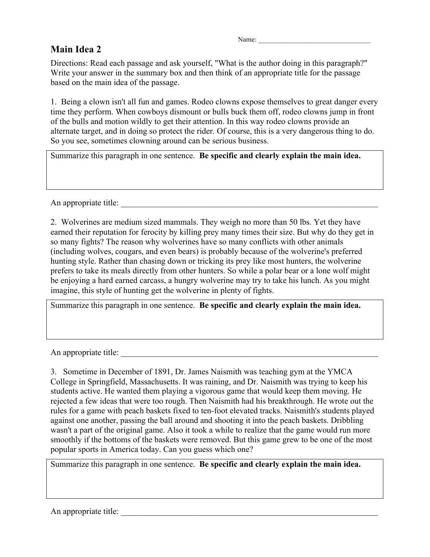## **Main Idea 2**

Directions: Read each passage and ask yourself, "What is the author doing in this paragraph?" Write your answer in the summary box and then think of an appropriate title for the passage based on the main idea of the passage.

1. Being a clown isn't all fun and games. Rodeo clowns expose themselves to great danger every time they perform. When cowboys dismount or bulls buck them off, rodeo clowns jump in front of the bulls and motion wildly to get their attention. In this way rodeo clowns provide an alternate target, and in doing so protect the rider. Of course, this is a very dangerous thing to do. So you see, sometimes clowning around can be serious business.

Summarize this paragraph in one sentence. **Be specific and clearly explain the main idea.**

An appropriate title:

2. Wolverines are medium sized mammals. They weigh no more than 50 lbs. Yet they have earned their reputation for ferocity by killing prey many times their size. But why do they get in so many fights? The reason why wolverines have so many conflicts with other animals (including wolves, cougars, and even bears) is probably because of the wolverine's preferred hunting style. Rather than chasing down or tricking its prey like most hunters, the wolverine prefers to take its meals directly from other hunters. So while a polar bear or a lone wolf might be enjoying a hard earned carcass, a hungry wolverine may try to take his lunch. As you might imagine, this style of hunting get the wolverine in plenty of fights.

Summarize this paragraph in one sentence. **Be specific and clearly explain the main idea.**

An appropriate title:

3. Sometime in December of 1891, Dr. James Naismith was teaching gym at the YMCA College in Springfield, Massachusetts. It was raining, and Dr. Naismith was trying to keep his students active. He wanted them playing a vigorous game that would keep them moving. He rejected a few ideas that were too rough. Then Naismith had his breakthrough. He wrote out the rules for a game with peach baskets fixed to ten-foot elevated tracks. Naismith's students played against one another, passing the ball around and shooting it into the peach baskets. Dribbling wasn't a part of the original game. Also it took a while to realize that the game would run more smoothly if the bottoms of the baskets were removed. But this game grew to be one of the most popular sports in America today. Can you guess which one?

Summarize this paragraph in one sentence. **Be specific and clearly explain the main idea.**

An appropriate title: